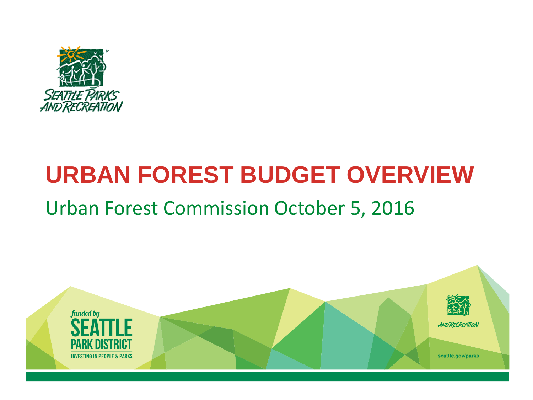

# **URBAN FOREST BUDGET OVERVIEW** Urban Forest Commission October 5, 2016

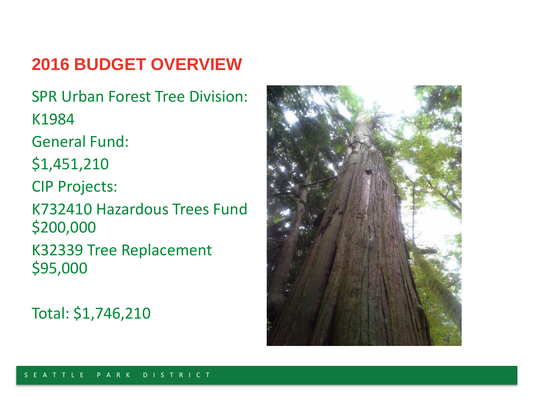### **2016 BUDGET OVERVIEW**

SPR Urban Forest Tree Division: K1984

General Fund:

\$1,451,210

CIP Projects:

K732410 Hazardous Trees Fund \$200,000

K32339 Tree Replacement \$95,000

Total: \$1,746,210

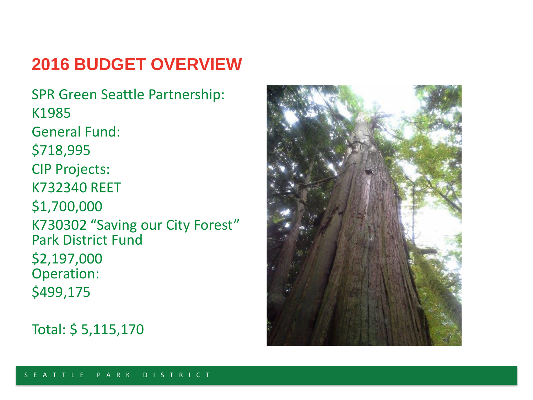#### **2016 BUDGET OVERVIEW**

SPR Green Seattle Partnership: K1985 General Fund: \$718,995 CIP Projects: K732340 REET \$1,700,000 K730302 "Saving our City Forest" Park District Fund \$2,197,000 Operation: \$499,175

Total: \$ 5,115,170

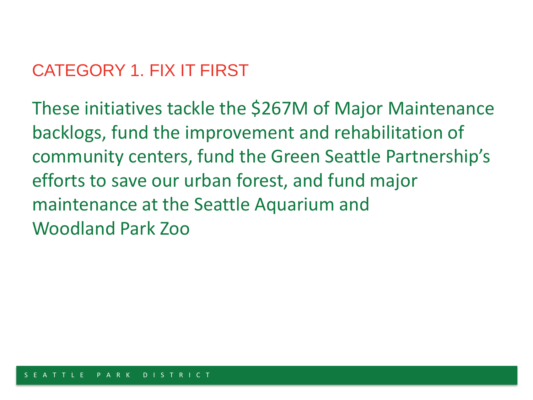# CATEGORY 1. FIX IT FIRST

These initiatives tackle the \$267M of Major Maintenance backlogs, fund the improvement and rehabilitation of community centers, fund the Green Seattle Partnership's efforts to save our urban forest, and fund major maintenance at the Seattle Aquarium and Woodland Park Zoo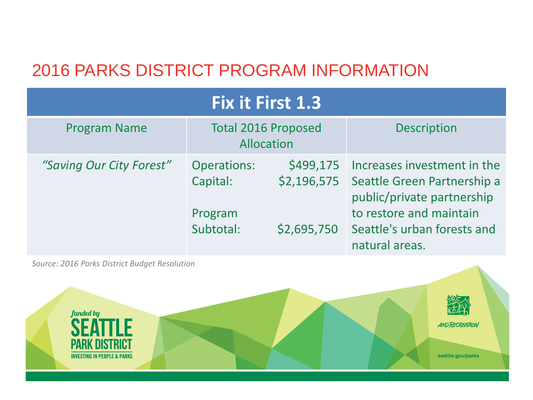#### 2016 PARKS DISTRICT PROGRAM INFORMATION

| <b>Fix it First 1.3</b>  |                                          |                          |                                                                                                                     |  |  |  |  |  |  |
|--------------------------|------------------------------------------|--------------------------|---------------------------------------------------------------------------------------------------------------------|--|--|--|--|--|--|
| <b>Program Name</b>      | <b>Total 2016 Proposed</b><br>Allocation |                          | <b>Description</b>                                                                                                  |  |  |  |  |  |  |
| "Saving Our City Forest" | <b>Operations:</b><br>Capital:           | \$499,175<br>\$2,196,575 | Increases investment in the<br>Seattle Green Partnership a<br>public/private partnership<br>to restore and maintain |  |  |  |  |  |  |
|                          | Program<br>Subtotal:                     | \$2,695,750              | Seattle's urban forests and<br>natural areas.                                                                       |  |  |  |  |  |  |

*Source: 2016 Parks District Budget Resolution*

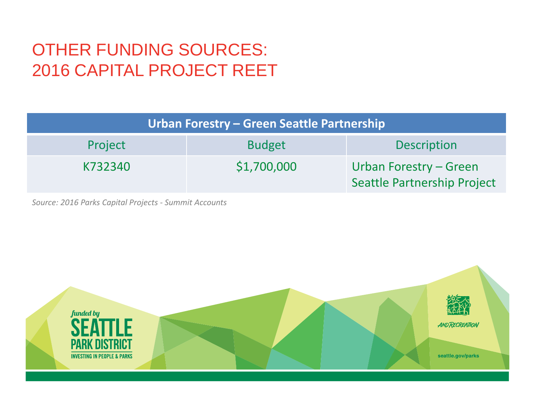### OTHER FUNDING SOURCES: 2016 CAPITAL PROJECT REET

| Urban Forestry – Green Seattle Partnership |               |                                                              |  |  |  |  |  |
|--------------------------------------------|---------------|--------------------------------------------------------------|--|--|--|--|--|
| Project                                    | <b>Budget</b> | <b>Description</b>                                           |  |  |  |  |  |
| K732340                                    | \$1,700,000   | Urban Forestry - Green<br><b>Seattle Partnership Project</b> |  |  |  |  |  |

*Source: 2016 Parks Capital Projects - Summit Accounts*